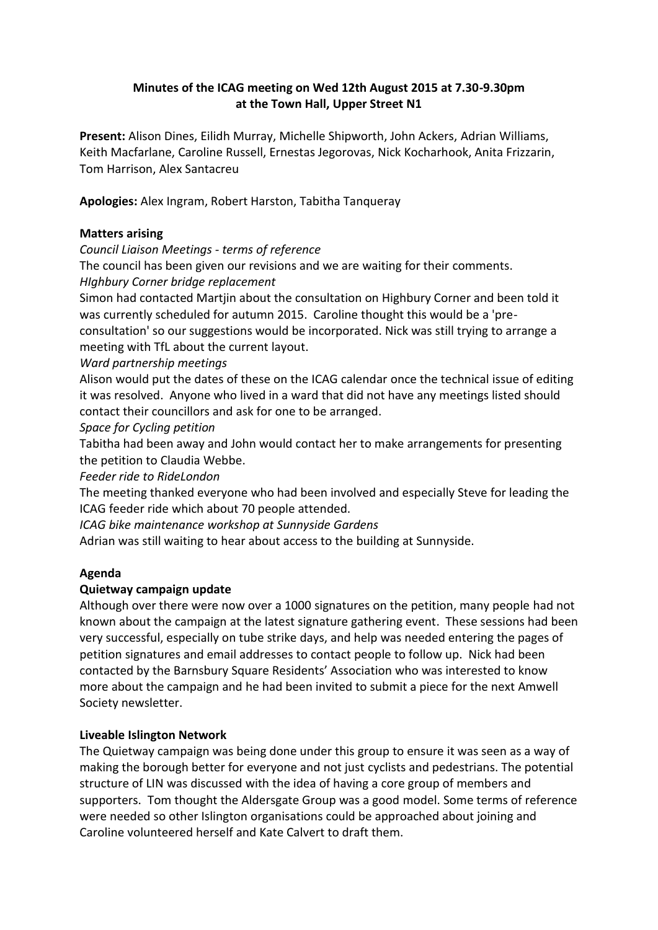# **Minutes of the ICAG meeting on Wed 12th August 2015 at 7.30-9.30pm at the Town Hall, Upper Street N1**

**Present:** Alison Dines, Eilidh Murray, Michelle Shipworth, John Ackers, Adrian Williams, Keith Macfarlane, Caroline Russell, Ernestas Jegorovas, Nick Kocharhook, Anita Frizzarin, Tom Harrison, Alex Santacreu

**Apologies:** Alex Ingram, Robert Harston, Tabitha Tanqueray

### **Matters arising**

*Council Liaison Meetings - terms of reference*

The council has been given our revisions and we are waiting for their comments. *HIghbury Corner bridge replacement*

Simon had contacted Martjin about the consultation on Highbury Corner and been told it was currently scheduled for autumn 2015. Caroline thought this would be a 'pre-

consultation' so our suggestions would be incorporated. Nick was still trying to arrange a meeting with TfL about the current layout.

*Ward partnership meetings*

Alison would put the dates of these on the ICAG calendar once the technical issue of editing it was resolved. Anyone who lived in a ward that did not have any meetings listed should contact their councillors and ask for one to be arranged.

### *Space for Cycling petition*

Tabitha had been away and John would contact her to make arrangements for presenting the petition to Claudia Webbe.

*Feeder ride to RideLondon*

The meeting thanked everyone who had been involved and especially Steve for leading the ICAG feeder ride which about 70 people attended.

*ICAG bike maintenance workshop at Sunnyside Gardens*

Adrian was still waiting to hear about access to the building at Sunnyside.

## **Agenda**

## **Quietway campaign update**

Although over there were now over a 1000 signatures on the petition, many people had not known about the campaign at the latest signature gathering event. These sessions had been very successful, especially on tube strike days, and help was needed entering the pages of petition signatures and email addresses to contact people to follow up. Nick had been contacted by the Barnsbury Square Residents' Association who was interested to know more about the campaign and he had been invited to submit a piece for the next Amwell Society newsletter.

## **Liveable Islington Network**

The Quietway campaign was being done under this group to ensure it was seen as a way of making the borough better for everyone and not just cyclists and pedestrians. The potential structure of LIN was discussed with the idea of having a core group of members and supporters. Tom thought the Aldersgate Group was a good model. Some terms of reference were needed so other Islington organisations could be approached about joining and Caroline volunteered herself and Kate Calvert to draft them.